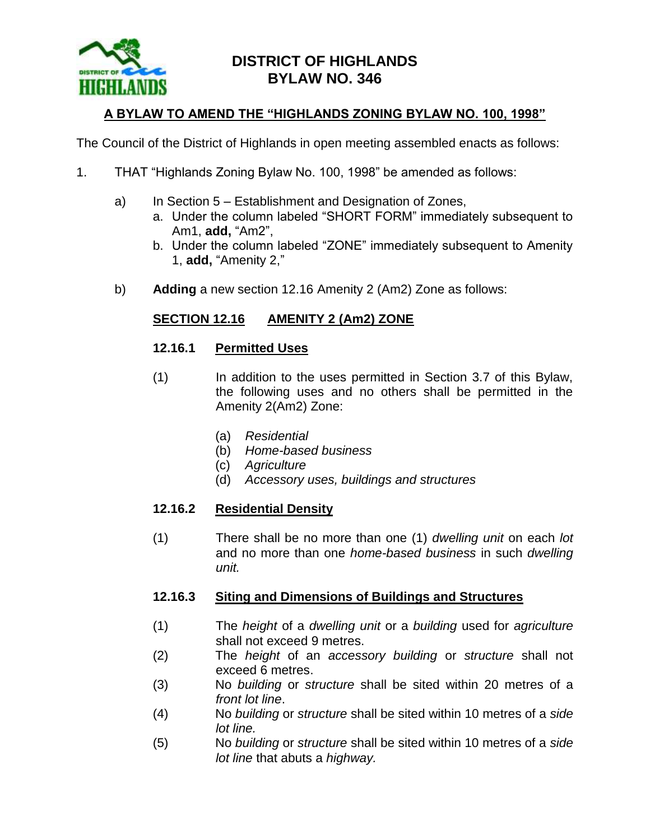

# **DISTRICT OF HIGHLANDS BYLAW NO. 346**

# **A BYLAW TO AMEND THE "HIGHLANDS ZONING BYLAW NO. 100, 1998"**

The Council of the District of Highlands in open meeting assembled enacts as follows:

- 1. THAT "Highlands Zoning Bylaw No. 100, 1998" be amended as follows:
	- a) In Section 5 Establishment and Designation of Zones,
		- a. Under the column labeled "SHORT FORM" immediately subsequent to Am1, **add,** "Am2",
		- b. Under the column labeled "ZONE" immediately subsequent to Amenity 1, **add,** "Amenity 2,"
	- b) **Adding** a new section 12.16 Amenity 2 (Am2) Zone as follows:

## **SECTION 12.16 AMENITY 2 (Am2) ZONE**

#### **12.16.1 Permitted Uses**

- (1) In addition to the uses permitted in Section 3.7 of this Bylaw, the following uses and no others shall be permitted in the Amenity 2(Am2) Zone:
	- (a) *Residential*
	- (b) *Home-based business*
	- (c) *Agriculture*
	- (d) *Accessory uses, buildings and structures*

### **12.16.2 Residential Density**

(1) There shall be no more than one (1) *dwelling unit* on each *lot* and no more than one *home-based business* in such *dwelling unit.*

### **12.16.3 Siting and Dimensions of Buildings and Structures**

- (1) The *height* of a *dwelling unit* or a *building* used for *agriculture*  shall not exceed 9 metres.
- (2) The *height* of an *accessory building* or *structure* shall not exceed 6 metres.
- (3) No *building* or *structure* shall be sited within 20 metres of a *front lot line*.
- (4) No *building* or *structure* shall be sited within 10 metres of a *side lot line.*
- (5) No *building* or *structure* shall be sited within 10 metres of a *side lot line* that abuts a *highway.*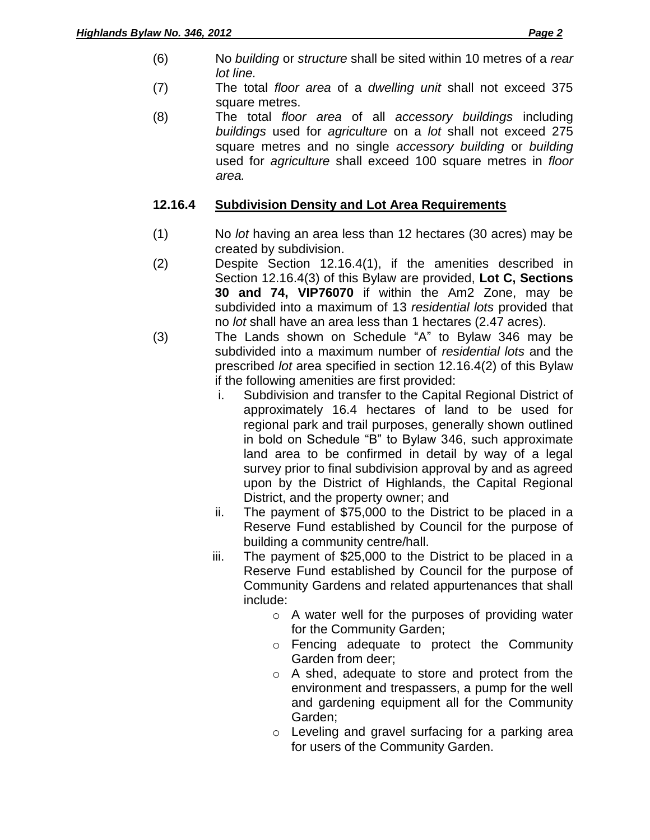- (6) No *building* or *structure* shall be sited within 10 metres of a *rear lot line.*
- (7) The total *floor area* of a *dwelling unit* shall not exceed 375 square metres.
- (8) The total *floor area* of all *accessory buildings* including *buildings* used for *agriculture* on a *lot* shall not exceed 275 square metres and no single *accessory building* or *building* used for *agriculture* shall exceed 100 square metres in *floor area.*

# **12.16.4 Subdivision Density and Lot Area Requirements**

- (1) No *lot* having an area less than 12 hectares (30 acres) may be created by subdivision.
- (2) Despite Section 12.16.4(1), if the amenities described in Section 12.16.4(3) of this Bylaw are provided, **Lot C, Sections 30 and 74, VIP76070** if within the Am2 Zone, may be subdivided into a maximum of 13 *residential lots* provided that no *lot* shall have an area less than 1 hectares (2.47 acres).
- (3) The Lands shown on Schedule "A" to Bylaw 346 may be subdivided into a maximum number of *residential lots* and the prescribed *lot* area specified in section 12.16.4(2) of this Bylaw if the following amenities are first provided:
	- i. Subdivision and transfer to the Capital Regional District of approximately 16.4 hectares of land to be used for regional park and trail purposes, generally shown outlined in bold on Schedule "B" to Bylaw 346, such approximate land area to be confirmed in detail by way of a legal survey prior to final subdivision approval by and as agreed upon by the District of Highlands, the Capital Regional District, and the property owner; and
	- ii. The payment of \$75,000 to the District to be placed in a Reserve Fund established by Council for the purpose of building a community centre/hall.
	- iii. The payment of \$25,000 to the District to be placed in a Reserve Fund established by Council for the purpose of Community Gardens and related appurtenances that shall include:
		- o A water well for the purposes of providing water for the Community Garden;
		- o Fencing adequate to protect the Community Garden from deer;
		- o A shed, adequate to store and protect from the environment and trespassers, a pump for the well and gardening equipment all for the Community Garden;
		- o Leveling and gravel surfacing for a parking area for users of the Community Garden.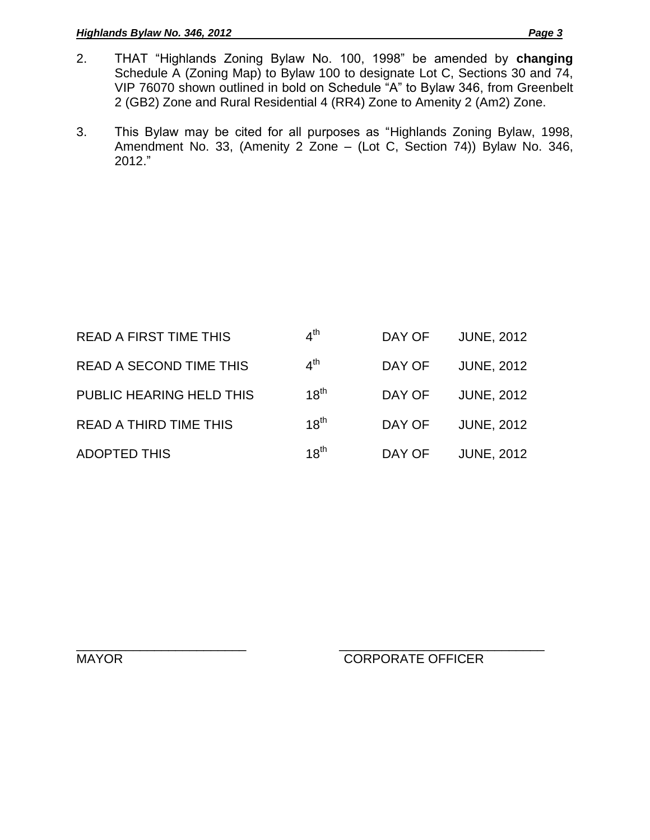#### *Highlands Bylaw No. 346, 2012 Page 3*

- 2. THAT "Highlands Zoning Bylaw No. 100, 1998" be amended by **changing**  Schedule A (Zoning Map) to Bylaw 100 to designate Lot C, Sections 30 and 74, VIP 76070 shown outlined in bold on Schedule "A" to Bylaw 346, from Greenbelt 2 (GB2) Zone and Rural Residential 4 (RR4) Zone to Amenity 2 (Am2) Zone.
- 3. This Bylaw may be cited for all purposes as "Highlands Zoning Bylaw, 1998, Amendment No. 33, (Amenity 2 Zone – (Lot C, Section 74)) Bylaw No. 346, 2012."

| <b>READ A FIRST TIME THIS</b>  | 4 <sup>th</sup> | DAY OF | <b>JUNE, 2012</b> |
|--------------------------------|-----------------|--------|-------------------|
| <b>READ A SECOND TIME THIS</b> | 4 <sup>th</sup> | DAY OF | <b>JUNE, 2012</b> |
| PUBLIC HEARING HELD THIS       | $18^{th}$       | DAY OF | <b>JUNE, 2012</b> |
| <b>READ A THIRD TIME THIS</b>  | $18^{th}$       | DAY OF | <b>JUNE, 2012</b> |
| <b>ADOPTED THIS</b>            | $18^{th}$       | DAY OF | <b>JUNE, 2012</b> |

\_\_\_\_\_\_\_\_\_\_\_\_\_\_\_\_\_\_\_\_\_\_\_\_ \_\_\_\_\_\_\_\_\_\_\_\_\_\_\_\_\_\_\_\_\_\_\_\_\_\_\_\_\_ MAYOR CORPORATE OFFICER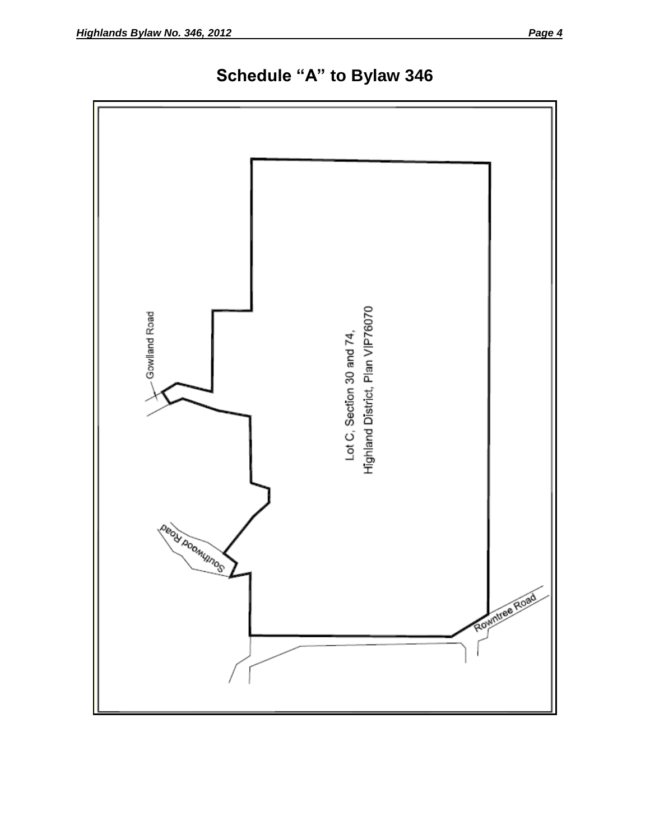

**Schedule "A" to Bylaw 346**